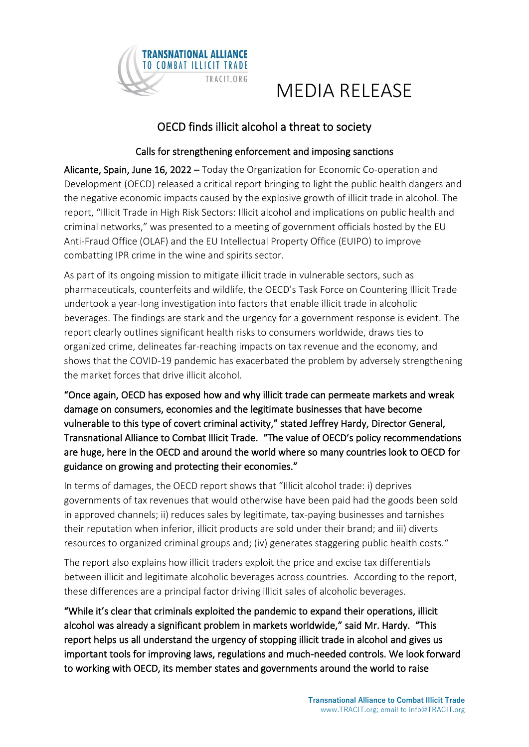

# TRACIT.ORG MEDIA RELEASE

# OECD finds illicit alcohol a threat to society

#### Calls for strengthening enforcement and imposing sanctions

Alicante, Spain, June 16, 2022 – Today the Organization for Economic Co-operation and Development (OECD) released a critical report bringing to light the public health dangers and the negative economic impacts caused by the explosive growth of illicit trade in alcohol. The report, "Illicit Trade in High Risk Sectors: Illicit alcohol and implications on public health and criminal networks," was presented to a meeting of government officials hosted by the EU Anti-Fraud Office (OLAF) and the EU Intellectual Property Office (EUIPO) to improve combatting IPR crime in the wine and spirits sector.

As part of its ongoing mission to mitigate illicit trade in vulnerable sectors, such as pharmaceuticals, counterfeits and wildlife, the OECD's Task Force on Countering Illicit Trade undertook a year-long investigation into factors that enable illicit trade in alcoholic beverages. The findings are stark and the urgency for a government response is evident. The report clearly outlines significant health risks to consumers worldwide, draws ties to organized crime, delineates far-reaching impacts on tax revenue and the economy, and shows that the COVID-19 pandemic has exacerbated the problem by adversely strengthening the market forces that drive illicit alcohol.

"Once again, OECD has exposed how and why illicit trade can permeate markets and wreak damage on consumers, economies and the legitimate businesses that have become vulnerable to this type of covert criminal activity," stated Jeffrey Hardy, Director General, Transnational Alliance to Combat Illicit Trade. "The value of OECD's policy recommendations are huge, here in the OECD and around the world where so many countries look to OECD for guidance on growing and protecting their economies."

In terms of damages, the OECD report shows that "Illicit alcohol trade: i) deprives governments of tax revenues that would otherwise have been paid had the goods been sold in approved channels; ii) reduces sales by legitimate, tax-paying businesses and tarnishes their reputation when inferior, illicit products are sold under their brand; and iii) diverts resources to organized criminal groups and; (iv) generates staggering public health costs."

The report also explains how illicit traders exploit the price and excise tax differentials between illicit and legitimate alcoholic beverages across countries. According to the report, these differences are a principal factor driving illicit sales of alcoholic beverages.

"While it's clear that criminals exploited the pandemic to expand their operations, illicit alcohol was already a significant problem in markets worldwide," said Mr. Hardy. "This report helps us all understand the urgency of stopping illicit trade in alcohol and gives us important tools for improving laws, regulations and much-needed controls. We look forward to working with OECD, its member states and governments around the world to raise